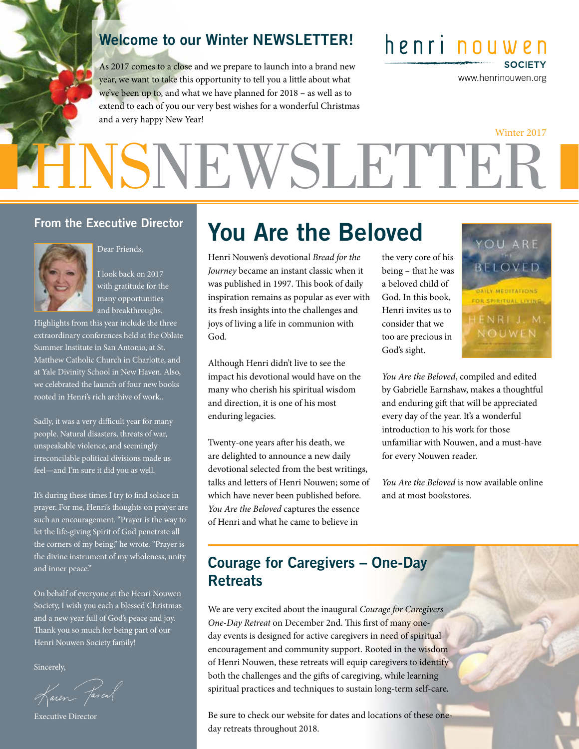### Welcome to our Winter NEWSLETTER!

As 2017 comes to a close and we prepare to launch into a brand new year, we want to take this opportunity to tell you a little about what we've been up to, and what we have planned for 2018 – as well as to extend to each of you our very best wishes for a wonderful Christmas and a very happy New Year!

henri nouwen **SOCIETY** 

www.henrinouwen.org

# HNSNEWSLETTER Winter 2017

#### From the Executive Director



Dear Friends,

I look back on 2017 with gratitude for the many opportunities and breakthroughs.

Highlights from this year include the three extraordinary conferences held at the Oblate Summer Institute in San Antonio, at St. Matthew Catholic Church in Charlotte, and at Yale Divinity School in New Haven. Also, we celebrated the launch of four new books rooted in Henri's rich archive of work..

Sadly, it was a very difficult year for many people. Natural disasters, threats of war, unspeakable violence, and seemingly irreconcilable political divisions made us feel—and I'm sure it did you as well.

It's during these times I try to find solace in prayer. For me, Henri's thoughts on prayer are such an encouragement. "Prayer is the way to let the life-giving Spirit of God penetrate all the corners of my being," he wrote. "Prayer is the divine instrument of my wholeness, unity and inner peace."

On behalf of everyone at the Henri Nouwen Society, I wish you each a blessed Christmas and a new year full of God's peace and joy. Thank you so much for being part of our Henri Nouwen Society family!

Sincerely,

Karen Jascal

Executive Director

## You Are the Beloved

Henri Nouwen's devotional *Bread for the Journey* became an instant classic when it was published in 1997. This book of daily inspiration remains as popular as ever with its fresh insights into the challenges and joys of living a life in communion with God.

Although Henri didn't live to see the impact his devotional would have on the many who cherish his spiritual wisdom and direction, it is one of his most enduring legacies.

Twenty-one years after his death, we are delighted to announce a new daily devotional selected from the best writings, talks and letters of Henri Nouwen; some of which have never been published before. *You Are the Beloved* captures the essence of Henri and what he came to believe in

the very core of his being – that he was a beloved child of God. In this book, Henri invites us to consider that we too are precious in God's sight.



*You Are the Beloved*, compiled and edited by Gabrielle Earnshaw, makes a thoughtful and enduring gift that will be appreciated every day of the year. It's a wonderful introduction to his work for those unfamiliar with Nouwen, and a must-have for every Nouwen reader.

*You Are the Beloved* is now available online and at most bookstores.

## Courage for Caregivers – One-Day **Retreats**

We are very excited about the inaugural *Courage for Caregivers One-Day Retreat* on December 2nd. This first of many oneday events is designed for active caregivers in need of spiritual encouragement and community support. Rooted in the wisdom of Henri Nouwen, these retreats will equip caregivers to identify both the challenges and the gifts of caregiving, while learning spiritual practices and techniques to sustain long-term self-care.

Be sure to check our website for dates and locations of these oneday retreats throughout 2018.